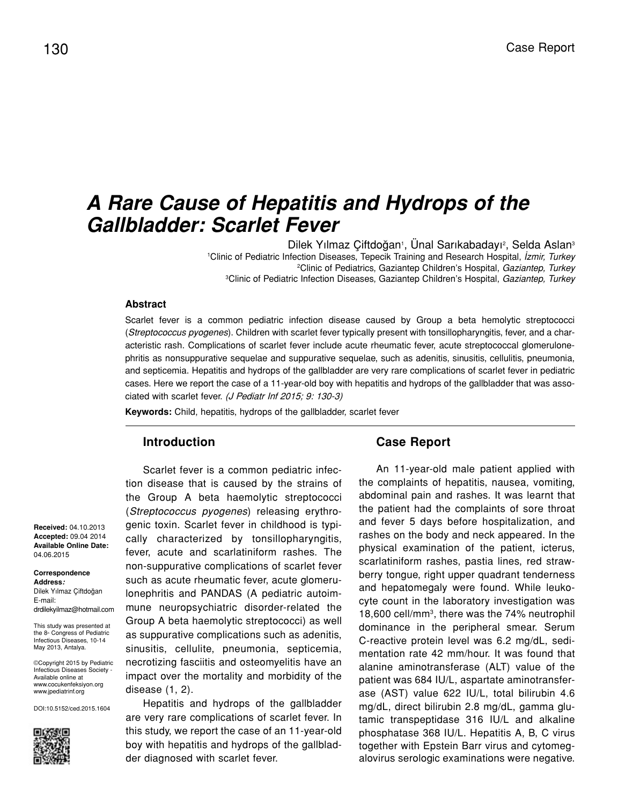# *A Rare Cause of Hepatitis and Hydrops of the Gallbladder: Scarlet Fever*

Dilek Yılmaz Çiftdoğan<sup>ı</sup>, Unal Sarıkabadayı<sup>2</sup>, Selda Aslan<sup>3</sup> Clinic of Pediatric Infection Diseases, Tepecik Training and Research Hospital, *İzmir, Turkey* Clinic of Pediatrics, Gaziantep Children's Hospital, *Gaziantep, Turkey* Clinic of Pediatric Infection Diseases, Gaziantep Children's Hospital, *Gaziantep, Turkey*

### **Abstract**

Scarlet fever is a common pediatric infection disease caused by Group a beta hemolytic streptococci (*Streptococcus pyogenes*). Children with scarlet fever typically present with tonsillopharyngitis, fever, and a characteristic rash. Complications of scarlet fever include acute rheumatic fever, acute streptococcal glomerulonephritis as nonsuppurative sequelae and suppurative sequelae, such as adenitis, sinusitis, cellulitis, pneumonia, and septicemia. Hepatitis and hydrops of the gallbladder are very rare complications of scarlet fever in pediatric cases. Here we report the case of a 11-year-old boy with hepatitis and hydrops of the gallbladder that was associated with scarlet fever. (J Pediatr Inf 2015; 9: 130-3)

**Keywords:** Child, hepatitis, hydrops of the gallbladder, scarlet fever

### **Introduction**

Scarlet fever is a common pediatric infection disease that is caused by the strains of the Group A beta haemolytic streptococci (*Streptococcus pyogenes*) releasing erythrogenic toxin. Scarlet fever in childhood is typically characterized by tonsillopharyngitis, fever, acute and scarlatiniform rashes. The non-suppurative complications of scarlet fever such as acute rheumatic fever, acute glomerulonephritis and PANDAS (A pediatric autoimmune neuropsychiatric disorder-related the Group A beta haemolytic streptococci) as well as suppurative complications such as adenitis, sinusitis, cellulite, pneumonia, septicemia, necrotizing fasciitis and osteomyelitis have an impact over the mortality and morbidity of the disease (1, 2).

Hepatitis and hydrops of the gallbladder are very rare complications of scarlet fever. In this study, we report the case of an 11-year-old boy with hepatitis and hydrops of the gallbladder diagnosed with scarlet fever.

### **Case Report**

An 11-year-old male patient applied with the complaints of hepatitis, nausea, vomiting, abdominal pain and rashes. It was learnt that the patient had the complaints of sore throat and fever 5 days before hospitalization, and rashes on the body and neck appeared. In the physical examination of the patient, icterus, scarlatiniform rashes, pastia lines, red strawberry tongue, right upper quadrant tenderness and hepatomegaly were found. While leukocyte count in the laboratory investigation was 18,600 cell/mm3, there was the 74% neutrophil dominance in the peripheral smear. Serum C-reactive protein level was 6.2 mg/dL, sedimentation rate 42 mm/hour. It was found that alanine aminotransferase (ALT) value of the patient was 684 IU/L, aspartate aminotransferase (AST) value 622 IU/L, total bilirubin 4.6 mg/dL, direct bilirubin 2.8 mg/dL, gamma glutamic transpeptidase 316 IU/L and alkaline phosphatase 368 IU/L. Hepatitis A, B, C virus together with Epstein Barr virus and cytomegalovirus serologic examinations were negative.

**Received:** 04.10.2013 **Accepted:** 09.04 2014 **Available Online Date:**  04.06.2015

#### **Correspondence Address:**

Dilek Yılmaz Çiftdoğan E-mail: drdilekyilmaz@hotmail.com

This study was presented at the 8<sup>th</sup> Congress of Pediatric Infectious Diseases, 10-14 May 2013, Antalya.

©Copyright 2015 by Pediatric Infectious Diseases Society - Available online at www.cocukenfeksiyon.org www.jpediatrinf.org

DOI:10.5152/ced.2015.1604

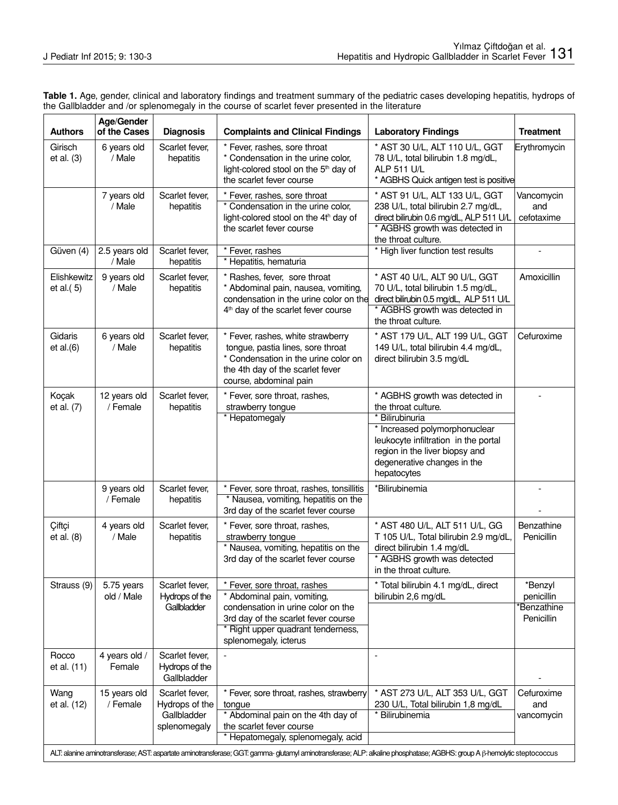| Table 1. Age, gender, clinical and laboratory findings and treatment summary of the pediatric cases developing hepatitis, hydrops of |  |
|--------------------------------------------------------------------------------------------------------------------------------------|--|
| the Gallbladder and /or splenomegaly in the course of scarlet fever presented in the literature                                      |  |

| <b>Authors</b>              | Age/Gender<br>of the Cases | <b>Diagnosis</b>                                                | <b>Complaints and Clinical Findings</b>                                                                                                                                                                                                                                                                                                 | <b>Laboratory Findings</b>                                                                                                                                                                                                        | <b>Treatment</b>                                   |
|-----------------------------|----------------------------|-----------------------------------------------------------------|-----------------------------------------------------------------------------------------------------------------------------------------------------------------------------------------------------------------------------------------------------------------------------------------------------------------------------------------|-----------------------------------------------------------------------------------------------------------------------------------------------------------------------------------------------------------------------------------|----------------------------------------------------|
| Girisch<br>et al. $(3)$     | 6 years old<br>/ Male      | Scarlet fever,<br>hepatitis                                     | * Fever, rashes, sore throat<br>* Condensation in the urine color,<br>light-colored stool on the 5 <sup>th</sup> day of<br>the scarlet fever course                                                                                                                                                                                     | * AST 30 U/L, ALT 110 U/L, GGT<br>78 U/L, total bilirubin 1.8 mg/dL,<br>ALP 511 U/L<br>* AGBHS Quick antigen test is positive                                                                                                     | Erythromycin                                       |
|                             | 7 years old<br>/ Male      | Scarlet fever,<br>hepatitis                                     | * Fever, rashes, sore throat<br>* Condensation in the urine color,<br>light-colored stool on the 4th day of<br>the scarlet fever course                                                                                                                                                                                                 | * AST 91 U/L, ALT 133 U/L, GGT<br>238 U/L, total bilirubin 2.7 mg/dL,<br>direct bilirubin 0.6 mg/dL, ALP 511 U/L<br>* AGBHS growth was detected in<br>the throat culture.                                                         | Vancomycin<br>and<br>cefotaxime                    |
| Güven (4)                   | 2.5 years old<br>/ Male    | Scarlet fever,<br>hepatitis                                     | * Fever, rashes<br>* Hepatitis, hematuria                                                                                                                                                                                                                                                                                               | * High liver function test results                                                                                                                                                                                                |                                                    |
| Elishkewitz<br>et al. $(5)$ | 9 years old<br>/ Male      | Scarlet fever,<br>hepatitis                                     | * Rashes, fever, sore throat<br>* Abdominal pain, nausea, vomiting,<br>condensation in the urine color on the<br>4 <sup>th</sup> day of the scarlet fever course                                                                                                                                                                        | * AST 40 U/L, ALT 90 U/L, GGT<br>70 U/L, total bilirubin 1.5 mg/dL,<br>direct bilirubin 0.5 mg/dL, ALP 511 U/L<br>* AGBHS growth was detected in<br>the throat culture.                                                           | Amoxicillin                                        |
| Gidaris<br>et al.(6)        | 6 years old<br>/ Male      | Scarlet fever,<br>hepatitis                                     | * Fever, rashes, white strawberry<br>tongue, pastia lines, sore throat<br>* Condensation in the urine color on<br>the 4th day of the scarlet fever<br>course, abdominal pain                                                                                                                                                            | * AST 179 U/L, ALT 199 U/L, GGT<br>149 U/L, total bilirubin 4.4 mg/dL,<br>direct bilirubin 3.5 mg/dL                                                                                                                              | Cefuroxime                                         |
| Koçak<br>et al. (7)         | 12 years old<br>/ Female   | Scarlet fever,<br>hepatitis                                     | * Fever, sore throat, rashes,<br>strawberry tongue<br>* Hepatomegaly                                                                                                                                                                                                                                                                    | * AGBHS growth was detected in<br>the throat culture.<br>* Bilirubinuria<br>* Increased polymorphonuclear<br>leukocyte infiltration in the portal<br>region in the liver biopsy and<br>degenerative changes in the<br>hepatocytes |                                                    |
|                             | 9 years old<br>/ Female    | Scarlet fever,<br>hepatitis                                     | * Fever, sore throat, rashes, tonsillitis<br>* Nausea, vomiting, hepatitis on the<br>3rd day of the scarlet fever course                                                                                                                                                                                                                | *Bilirubinemia                                                                                                                                                                                                                    |                                                    |
| Ciftçi<br>et al. (8)        | 4 years old<br>/ Male      | Scarlet fever,<br>hepatitis                                     | * Fever, sore throat, rashes,<br>strawberry tongue<br>* Nausea, vomiting, hepatitis on the<br>3rd day of the scarlet fever course                                                                                                                                                                                                       | * AST 480 U/L, ALT 511 U/L, GG<br>T 105 U/L, Total bilirubin 2.9 mg/dL,<br>direct bilirubin 1.4 mg/dL<br>* AGBHS growth was detected<br>in the throat culture.                                                                    | Benzathine<br>Penicillin                           |
| Strauss (9)                 | 5.75 years<br>old / Male   | Scarlet fever,<br>Hydrops of the<br>Gallbladder                 | * Fever, sore throat, rashes<br>* Abdominal pain, vomiting,<br>condensation in urine color on the<br>3rd day of the scarlet fever course<br>* Right upper quadrant tenderness,<br>splenomegaly, icterus                                                                                                                                 | * Total bilirubin 4.1 mg/dL, direct<br>bilirubin 2,6 mg/dL                                                                                                                                                                        | *Benzyl<br>penicillin<br>*Benzathine<br>Penicillin |
| Rocco<br>et al. (11)        | 4 years old /<br>Female    | Scarlet fever,<br>Hydrops of the<br>Gallbladder                 |                                                                                                                                                                                                                                                                                                                                         | $\overline{\phantom{a}}$                                                                                                                                                                                                          |                                                    |
| Wang<br>et al. (12)         | 15 years old<br>/ Female   | Scarlet fever,<br>Hydrops of the<br>Gallbladder<br>splenomegaly | * Fever, sore throat, rashes, strawberry<br>tongue<br>* Abdominal pain on the 4th day of<br>the scarlet fever course<br>* Hepatomegaly, splenomegaly, acid<br>ALT: alanine aminotransferase; AST: aspartate aminotransferase; GGT: gamma- glutamyl aminotransferase; ALP: alkaline phosphatase; AGBHS: group A ß-hemolytic steptococcus | * AST 273 U/L, ALT 353 U/L, GGT<br>230 U/L, Total bilirubin 1,8 mg/dL<br>* Bilirubinemia                                                                                                                                          | Cefuroxime<br>and<br>vancomycin                    |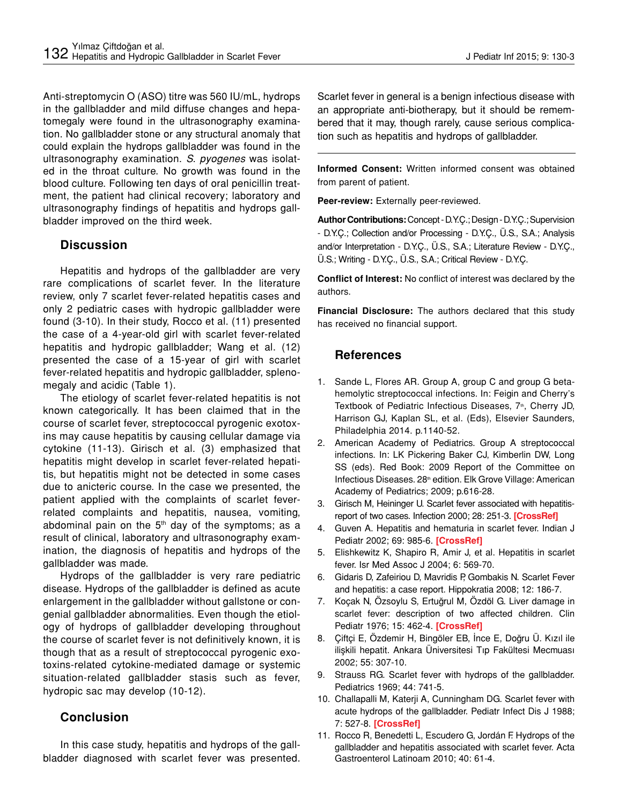Anti-streptomycin O (ASO) titre was 560 IU/mL, hydrops in the gallbladder and mild diffuse changes and hepatomegaly were found in the ultrasonography examination. No gallbladder stone or any structural anomaly that could explain the hydrops gallbladder was found in the ultrasonography examination. *S. pyogenes* was isolated in the throat culture. No growth was found in the blood culture. Following ten days of oral penicillin treatment, the patient had clinical recovery; laboratory and ultrasonography findings of hepatitis and hydrops gallbladder improved on the third week.

# **Discussion**

Hepatitis and hydrops of the gallbladder are very rare complications of scarlet fever. In the literature review, only 7 scarlet fever-related hepatitis cases and only 2 pediatric cases with hydropic gallbladder were found (3-10). In their study, Rocco et al. (11) presented the case of a 4-year-old girl with scarlet fever-related hepatitis and hydropic gallbladder; Wang et al. (12) presented the case of a 15-year of girl with scarlet fever-related hepatitis and hydropic gallbladder, splenomegaly and acidic (Table 1).

The etiology of scarlet fever-related hepatitis is not known categorically. It has been claimed that in the course of scarlet fever, streptococcal pyrogenic exotoxins may cause hepatitis by causing cellular damage via cytokine (11-13). Girisch et al. (3) emphasized that hepatitis might develop in scarlet fever-related hepatitis, but hepatitis might not be detected in some cases due to anicteric course. In the case we presented, the patient applied with the complaints of scarlet feverrelated complaints and hepatitis, nausea, vomiting, abdominal pain on the  $5<sup>th</sup>$  day of the symptoms; as a result of clinical, laboratory and ultrasonography examination, the diagnosis of hepatitis and hydrops of the gallbladder was made.

Hydrops of the gallbladder is very rare pediatric disease. Hydrops of the gallbladder is defined as acute enlargement in the gallbladder without gallstone or congenial gallbladder abnormalities. Even though the etiology of hydrops of gallbladder developing throughout the course of scarlet fever is not definitively known, it is though that as a result of streptococcal pyrogenic exotoxins-related cytokine-mediated damage or systemic situation-related gallbladder stasis such as fever, hydropic sac may develop (10-12).

# **Conclusion**

In this case study, hepatitis and hydrops of the gallbladder diagnosed with scarlet fever was presented. Scarlet fever in general is a benign infectious disease with an appropriate anti-biotherapy, but it should be remembered that it may, though rarely, cause serious complication such as hepatitis and hydrops of gallbladder.

**Informed Consent:** Written informed consent was obtained from parent of patient.

**Peer-review:** Externally peer-reviewed.

**Author Contributions:** Concept - D.Y.Ç.; Design - D.Y.Ç.; Supervision - D.Y.Ç.; Collection and/or Processing - D.Y.Ç., Ü.S., S.A.; Analysis and/or Interpretation - D.Y.Ç., Ü.S., S.A.; Literature Review - D.Y.Ç., Ü.S.; Writing - D.Y.Ç., Ü.S., S.A.; Critical Review - D.Y.Ç.

**Conflict of Interest:** No conflict of interest was declared by the authors.

**Financial Disclosure:** The authors declared that this study has received no financial support.

# **References**

- 1. Sande L, Flores AR. Group A, group C and group G betahemolytic streptococcal infections. In: Feigin and Cherry's Textbook of Pediatric Infectious Diseases, 7<sup>th</sup>, Cherry JD, Harrison GJ, Kaplan SL, et al. (Eds), Elsevier Saunders, Philadelphia 2014. p.1140-52.
- 2. American Academy of Pediatrics. Group A streptococcal infections. In: LK Pickering Baker CJ, Kimberlin DW, Long SS (eds). Red Book: 2009 Report of the Committee on Infectious Diseases. 28<sup>th</sup> edition. Elk Grove Village: American Academy of Pediatrics; 2009; p.616-28.
- 3. Girisch M, Heininger U. Scarlet fever associated with hepatitisreport of two cases. Infection 2000; 28: 251-3. **[\[CrossRef\]](http://dx.doi.org/10.1007/s150100070048)**
- 4. Guven A. Hepatitis and hematuria in scarlet fever. Indian J Pediatr 2002; 69: 985-6. **[\[CrossRef\]](http://dx.doi.org/10.1007/BF02726020)**
- 5. Elishkewitz K, Shapiro R, Amir J, et al. Hepatitis in scarlet fever. Isr Med Assoc J 2004; 6: 569-70.
- 6. Gidaris D, Zafeiriou D, Mavridis P, Gombakis N. Scarlet Fever and hepatitis: a case report. Hippokratia 2008; 12: 186-7.
- 7. Koçak N, Özsoylu S, Ertuğrul M, Özdöl G. Liver damage in scarlet fever: description of two affected children. Clin Pediatr 1976; 15: 462-4. **[\[CrossRef\]](http://dx.doi.org/10.1177/000992287601500510)**
- 8. Çiftçi E, Özdemir H, Bingöler EB, İnce E, Doğru Ü. Kızıl ile ilişkili hepatit. Ankara Üniversitesi Tıp Fakültesi Mecmuası 2002; 55: 307-10.
- 9. Strauss RG. Scarlet fever with hydrops of the gallbladder. Pediatrics 1969; 44: 741-5.
- 10. Challapalli M, Katerji A, Cunningham DG. Scarlet fever with acute hydrops of the gallbladder. Pediatr Infect Dis J 1988; 7: 527-8. **[\[CrossRef\]](http://dx.doi.org/10.1097/00006454-198807000-00024)**
- 11. Rocco R, Benedetti L, Escudero G, Jordán F. Hydrops of the gallbladder and hepatitis associated with scarlet fever. Acta Gastroenterol Latinoam 2010; 40: 61-4.